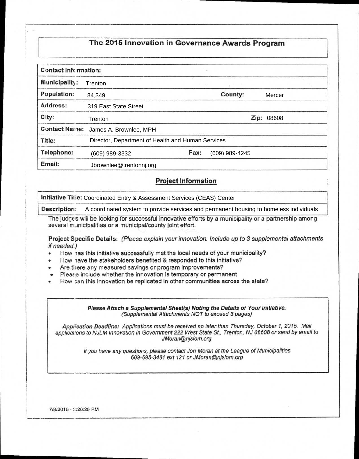## **The 2016 Innovation in Governance Awards Program**

| Contact Infermation: |                                                   |      |                |        |  |
|----------------------|---------------------------------------------------|------|----------------|--------|--|
| Municipality:        | Trenton                                           |      |                |        |  |
| Population:          | 84,349                                            |      | County:        | Mercer |  |
| Address:             | 319 East State Street                             |      |                |        |  |
| City:                | Trenton                                           |      | Zip:<br>08608  |        |  |
| <b>Contact Name:</b> | James A. Brownlee, MPH                            |      |                |        |  |
| Title:               | Director, Department of Health and Human Services |      |                |        |  |
| Telephone:           | (609) 989-3332                                    | Fax: | (609) 989-4245 |        |  |
| Email:               | Jbrownlee@trentonnj.org                           |      |                |        |  |

## **Project Information**

**Initiative Title:**  Coordinated Entry & Assessment Services (CEAS) Center

**Description:**  A coordinated system to provide services and permanent housing to homeless individuals

The judge s will be looking for successful innovative efforts by a municipality or a partnership among several municipalities or a municipal/county joint effort.

**Project Specific Details:** (Please explain your innovation. Include up to 3 supplemental attachments if needed.)

- How has this initiative successfully met the local needs of your municipality?
- How have the stakeholders benefited & responded to this initiative?
- Are there any measured savings or program improvements?
- Pleate include whether the innovation is temporary or permanent
- How :an this innovation be replicated in other communities across the state?

**Please Attach a Supplemental Sheet(s) Noting the Details of Your Initiative.**  (Supplemental Attachments NOT to exceed 3 pages)

Application Deadline: Applications must be received no later than Thursday, October 1, 2015. Mail applical'ons to NJLM Innovation in Government 222 West State St., Trenton, NJ 08608 or send by email to JMoran@njslom.org

> If you have any questions, please contact Jon Moran at the League of Municipalities 609-695-3481 ext 121 or JMoran@njslom.org

7/8/2015 - :20:25 PM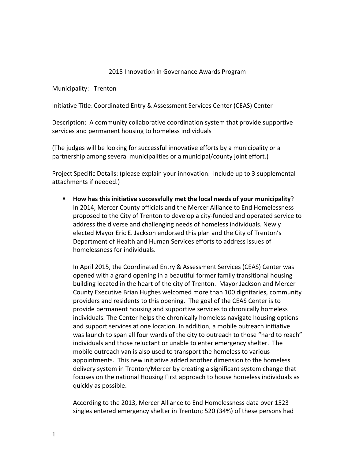## 2015 Innovation in Governance Awards Program

Municipality: Trenton

Initiative Title: Coordinated Entry & Assessment Services Center (CEAS) Center

Description: A community collaborative coordination system that provide supportive services and permanent housing to homeless individuals

(The judges will be looking for successful innovative efforts by a municipality or a partnership among several municipalities or a municipal/county joint effort.)

Project Specific Details: (please explain your innovation. Include up to 3 supplemental attachments if needed.)

 **How has this initiative successfully met the local needs of your municipality**? In 2014, Mercer County officials and the Mercer Alliance to End Homelessness proposed to the City of Trenton to develop a city‐funded and operated service to address the diverse and challenging needs of homeless individuals. Newly elected Mayor Eric E. Jackson endorsed this plan and the City of Trenton's Department of Health and Human Services efforts to address issues of homelessness for individuals.

In April 2015, the Coordinated Entry & Assessment Services (CEAS) Center was opened with a grand opening in a beautiful former family transitional housing building located in the heart of the city of Trenton. Mayor Jackson and Mercer County Executive Brian Hughes welcomed more than 100 dignitaries, community providers and residents to this opening. The goal of the CEAS Center is to provide permanent housing and supportive services to chronically homeless individuals. The Center helps the chronically homeless navigate housing options and support services at one location. In addition, a mobile outreach initiative was launch to span all four wards of the city to outreach to those "hard to reach" individuals and those reluctant or unable to enter emergency shelter. The mobile outreach van is also used to transport the homeless to various appointments. This new initiative added another dimension to the homeless delivery system in Trenton/Mercer by creating a significant system change that focuses on the national Housing First approach to house homeless individuals as quickly as possible.

According to the 2013, Mercer Alliance to End Homelessness data over 1523 singles entered emergency shelter in Trenton; 520 (34%) of these persons had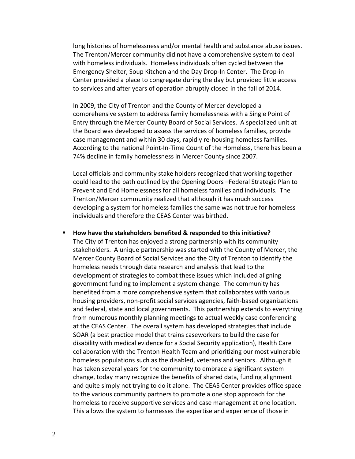long histories of homelessness and/or mental health and substance abuse issues. The Trenton/Mercer community did not have a comprehensive system to deal with homeless individuals. Homeless individuals often cycled between the Emergency Shelter, Soup Kitchen and the Day Drop‐In Center. The Drop‐in Center provided a place to congregate during the day but provided little access to services and after years of operation abruptly closed in the fall of 2014.

In 2009, the City of Trenton and the County of Mercer developed a comprehensive system to address family homelessness with a Single Point of Entry through the Mercer County Board of Social Services. A specialized unit at the Board was developed to assess the services of homeless families, provide case management and within 30 days, rapidly re‐housing homeless families. According to the national Point‐In‐Time Count of the Homeless, there has been a 74% decline in family homelessness in Mercer County since 2007.

Local officials and community stake holders recognized that working together could lead to the path outlined by the Opening Doors –Federal Strategic Plan to Prevent and End Homelessness for all homeless families and individuals. The Trenton/Mercer community realized that although it has much success developing a system for homeless families the same was not true for homeless individuals and therefore the CEAS Center was birthed.

 **How have the stakeholders benefited & responded to this initiative?** The City of Trenton has enjoyed a strong partnership with its community stakeholders. A unique partnership was started with the County of Mercer, the Mercer County Board of Social Services and the City of Trenton to identify the homeless needs through data research and analysis that lead to the development of strategies to combat these issues which included aligning government funding to implement a system change. The community has benefited from a more comprehensive system that collaborates with various housing providers, non‐profit social services agencies, faith‐based organizations and federal, state and local governments. This partnership extends to everything from numerous monthly planning meetings to actual weekly case conferencing at the CEAS Center. The overall system has developed strategies that include SOAR (a best practice model that trains caseworkers to build the case for disability with medical evidence for a Social Security application), Health Care collaboration with the Trenton Health Team and prioritizing our most vulnerable homeless populations such as the disabled, veterans and seniors. Although it has taken several years for the community to embrace a significant system change, today many recognize the benefits of shared data, funding alignment and quite simply not trying to do it alone. The CEAS Center provides office space to the various community partners to promote a one stop approach for the homeless to receive supportive services and case management at one location. This allows the system to harnesses the expertise and experience of those in